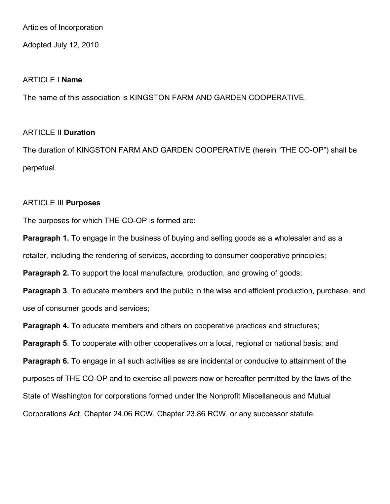Articles of Incorporation

Adopted July 12, 2010

## ARTICLE I **Name**

The name of this association is KINGSTON FARM AND GARDEN COOPERATIVE.

# ARTICLE II **Duration**

The duration of KINGSTON FARM AND GARDEN COOPERATIVE (herein "THE CO-OP") shall be perpetual.

## ARTICLE III **Purposes**

The purposes for which THE CO-OP is formed are:

**Paragraph 1.** To engage in the business of buying and selling goods as a wholesaler and as a retailer, including the rendering of services, according to consumer cooperative principles;

**Paragraph 2.** To support the local manufacture, production, and growing of goods;

**Paragraph 3**. To educate members and the public in the wise and efficient production, purchase, and use of consumer goods and services;

**Paragraph 4.** To educate members and others on cooperative practices and structures;

**Paragraph 5**. To cooperate with other cooperatives on a local, regional or national basis; and

**Paragraph 6.** To engage in all such activities as are incidental or conducive to attainment of the purposes of THE CO-OP and to exercise all powers now or hereafter permitted by the laws of the State of Washington for corporations formed under the Nonprofit Miscellaneous and Mutual Corporations Act, Chapter 24.06 RCW, Chapter 23.86 RCW, or any successor statute.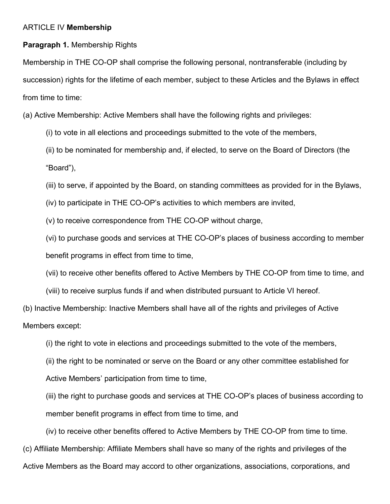# ARTICLE IV **Membership**

# **Paragraph 1.** Membership Rights

Membership in THE CO-OP shall comprise the following personal, nontransferable (including by succession) rights for the lifetime of each member, subject to these Articles and the Bylaws in effect from time to time:

(a) Active Membership: Active Members shall have the following rights and privileges:

- (i) to vote in all elections and proceedings submitted to the vote of the members,
- (ii) to be nominated for membership and, if elected, to serve on the Board of Directors (the "Board"),
- (iii) to serve, if appointed by the Board, on standing committees as provided for in the Bylaws,
- (iv) to participate in THE CO-OP's activities to which members are invited,
- (v) to receive correspondence from THE CO-OP without charge,
- (vi) to purchase goods and services at THE CO-OP's places of business according to member benefit programs in effect from time to time,
- (vii) to receive other benefits offered to Active Members by THE CO-OP from time to time, and
- (viii) to receive surplus funds if and when distributed pursuant to Article VI hereof.

(b) Inactive Membership: Inactive Members shall have all of the rights and privileges of Active Members except:

- (i) the right to vote in elections and proceedings submitted to the vote of the members,
- (ii) the right to be nominated or serve on the Board or any other committee established for
- Active Members' participation from time to time,

(iii) the right to purchase goods and services at THE CO-OP's places of business according to member benefit programs in effect from time to time, and

(iv) to receive other benefits offered to Active Members by THE CO-OP from time to time.

(c) Affiliate Membership: Affiliate Members shall have so many of the rights and privileges of the

Active Members as the Board may accord to other organizations, associations, corporations, and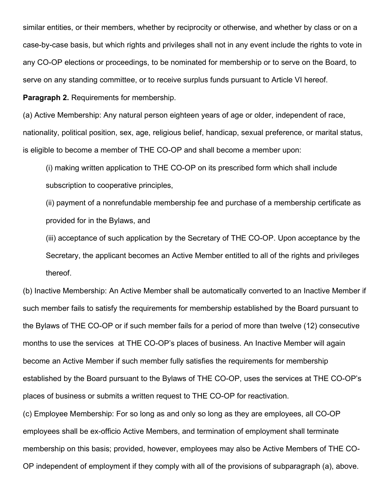similar entities, or their members, whether by reciprocity or otherwise, and whether by class or on a case-by-case basis, but which rights and privileges shall not in any event include the rights to vote in any CO-OP elections or proceedings, to be nominated for membership or to serve on the Board, to serve on any standing committee, or to receive surplus funds pursuant to Article VI hereof.

**Paragraph 2.** Requirements for membership.

(a) Active Membership: Any natural person eighteen years of age or older, independent of race, nationality, political position, sex, age, religious belief, handicap, sexual preference, or marital status, is eligible to become a member of THE CO-OP and shall become a member upon:

(i) making written application to THE CO-OP on its prescribed form which shall include subscription to cooperative principles,

(ii) payment of a nonrefundable membership fee and purchase of a membership certificate as provided for in the Bylaws, and

(iii) acceptance of such application by the Secretary of THE CO-OP. Upon acceptance by the Secretary, the applicant becomes an Active Member entitled to all of the rights and privileges thereof.

(b) Inactive Membership: An Active Member shall be automatically converted to an Inactive Member if such member fails to satisfy the requirements for membership established by the Board pursuant to the Bylaws of THE CO-OP or if such member fails for a period of more than twelve (12) consecutive months to use the services at THE CO-OP's places of business. An Inactive Member will again become an Active Member if such member fully satisfies the requirements for membership established by the Board pursuant to the Bylaws of THE CO-OP, uses the services at THE CO-OP's places of business or submits a written request to THE CO-OP for reactivation.

(c) Employee Membership: For so long as and only so long as they are employees, all CO-OP employees shall be ex-officio Active Members, and termination of employment shall terminate membership on this basis; provided, however, employees may also be Active Members of THE CO-OP independent of employment if they comply with all of the provisions of subparagraph (a), above.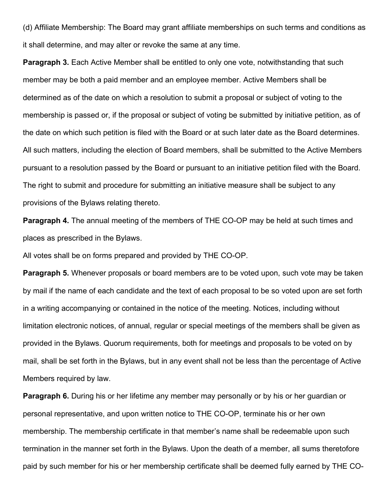(d) Affiliate Membership: The Board may grant affiliate memberships on such terms and conditions as it shall determine, and may alter or revoke the same at any time.

**Paragraph 3.** Each Active Member shall be entitled to only one vote, notwithstanding that such member may be both a paid member and an employee member. Active Members shall be determined as of the date on which a resolution to submit a proposal or subject of voting to the membership is passed or, if the proposal or subject of voting be submitted by initiative petition, as of the date on which such petition is filed with the Board or at such later date as the Board determines. All such matters, including the election of Board members, shall be submitted to the Active Members pursuant to a resolution passed by the Board or pursuant to an initiative petition filed with the Board. The right to submit and procedure for submitting an initiative measure shall be subject to any provisions of the Bylaws relating thereto.

**Paragraph 4.** The annual meeting of the members of THE CO-OP may be held at such times and places as prescribed in the Bylaws.

All votes shall be on forms prepared and provided by THE CO-OP.

**Paragraph 5.** Whenever proposals or board members are to be voted upon, such vote may be taken by mail if the name of each candidate and the text of each proposal to be so voted upon are set forth in a writing accompanying or contained in the notice of the meeting. Notices, including without limitation electronic notices, of annual, regular or special meetings of the members shall be given as provided in the Bylaws. Quorum requirements, both for meetings and proposals to be voted on by mail, shall be set forth in the Bylaws, but in any event shall not be less than the percentage of Active Members required by law.

**Paragraph 6.** During his or her lifetime any member may personally or by his or her guardian or personal representative, and upon written notice to THE CO-OP, terminate his or her own membership. The membership certificate in that member's name shall be redeemable upon such termination in the manner set forth in the Bylaws. Upon the death of a member, all sums theretofore paid by such member for his or her membership certificate shall be deemed fully earned by THE CO-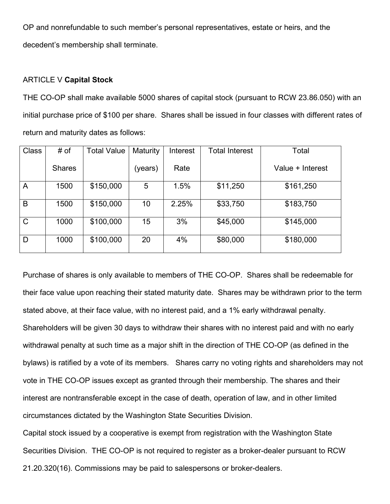OP and nonrefundable to such member's personal representatives, estate or heirs, and the decedent's membership shall terminate.

### ARTICLE V **Capital Stock**

THE CO-OP shall make available 5000 shares of capital stock (pursuant to RCW 23.86.050) with an initial purchase price of \$100 per share. Shares shall be issued in four classes with different rates of return and maturity dates as follows:

| <b>Class</b> | # of          | <b>Total Value</b> | Maturity | Interest | <b>Total Interest</b> | Total            |
|--------------|---------------|--------------------|----------|----------|-----------------------|------------------|
|              | <b>Shares</b> |                    | (years)  | Rate     |                       | Value + Interest |
| A            | 1500          | \$150,000          | 5        | 1.5%     | \$11,250              | \$161,250        |
| B            | 1500          | \$150,000          | 10       | 2.25%    | \$33,750              | \$183,750        |
| $\mathsf{C}$ | 1000          | \$100,000          | 15       | 3%       | \$45,000              | \$145,000        |
| D            | 1000          | \$100,000          | 20       | 4%       | \$80,000              | \$180,000        |

Purchase of shares is only available to members of THE CO-OP. Shares shall be redeemable for their face value upon reaching their stated maturity date. Shares may be withdrawn prior to the term stated above, at their face value, with no interest paid, and a 1% early withdrawal penalty. Shareholders will be given 30 days to withdraw their shares with no interest paid and with no early withdrawal penalty at such time as a major shift in the direction of THE CO-OP (as defined in the bylaws) is ratified by a vote of its members. Shares carry no voting rights and shareholders may not vote in THE CO-OP issues except as granted through their membership. The shares and their interest are nontransferable except in the case of death, operation of law, and in other limited circumstances dictated by the Washington State Securities Division.

Capital stock issued by a cooperative is exempt from registration with the Washington State Securities Division. THE CO-OP is not required to register as a broker-dealer pursuant to RCW 21.20.320(16). Commissions may be paid to salespersons or broker-dealers.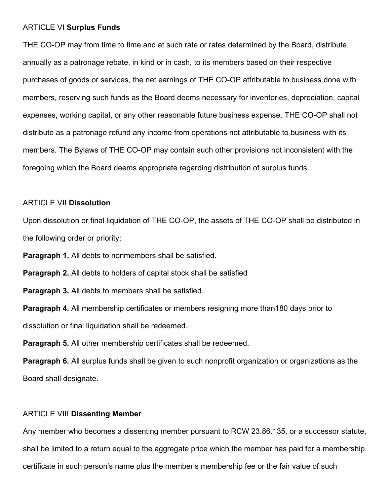#### ARTICLE VI **Surplus Funds**

THE CO-OP may from time to time and at such rate or rates determined by the Board, distribute annually as a patronage rebate, in kind or in cash, to its members based on their respective purchases of goods or services, the net earnings of THE CO-OP attributable to business done with members, reserving such funds as the Board deems necessary for inventories, depreciation, capital expenses, working capital, or any other reasonable future business expense. THE CO-OP shall not distribute as a patronage refund any income from operations not attributable to business with its members. The Bylaws of THE CO-OP may contain such other provisions not inconsistent with the foregoing which the Board deems appropriate regarding distribution of surplus funds.

### ARTICLE VII **Dissolution**

Upon dissolution or final liquidation of THE CO-OP, the assets of THE CO-OP shall be distributed in the following order or priority:

**Paragraph 1.** All debts to nonmembers shall be satisfied.

**Paragraph 2.** All debts to holders of capital stock shall be satisfied

**Paragraph 3.** All debts to members shall be satisfied.

**Paragraph 4.** All membership certificates or members resigning more than180 days prior to dissolution or final liquidation shall be redeemed.

**Paragraph 5.** All other membership certificates shall be redeemed.

**Paragraph 6.** All surplus funds shall be given to such nonprofit organization or organizations as the Board shall designate.

#### ARTICLE VIII **Dissenting Member**

Any member who becomes a dissenting member pursuant to RCW 23.86.135, or a successor statute, shall be limited to a return equal to the aggregate price which the member has paid for a membership certificate in such person's name plus the member's membership fee or the fair value of such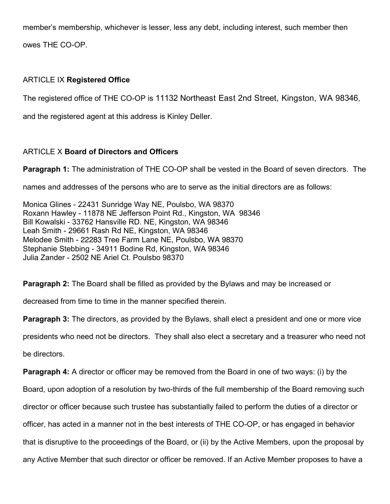member's membership, whichever is lesser, less any debt, including interest, such member then owes THE CO-OP.

# ARTICLE IX **Registered Office**

The registered office of THE CO-OP is 11132 Northeast East 2nd Street, Kingston, WA 98346,

and the registered agent at this address is Kinley Deller.

# ARTICLE X **Board of Directors and Officers**

**Paragraph 1:** The administration of THE CO-OP shall be vested in the Board of seven directors. The

names and addresses of the persons who are to serve as the initial directors are as follows:

Monica Glines - 22431 Sunridge Way NE, Poulsbo, WA 98370 Roxann Hawley - 11878 NE Jefferson Point Rd., Kingston, WA 98346 Bill Kowalski - 33762 Hansville RD. NE, Kingston, WA 98346 Leah Smith - 29661 Rash Rd NE, Kingston, WA 98346 Melodee Smith - 22283 Tree Farm Lane NE, Poulsbo, WA 98370 Stephanie Stebbing - 34911 Bodine Rd, Kingston, WA 98346 Julia Zander - 2502 NE Ariel Ct. Poulsbo 98370

**Paragraph 2:** The Board shall be filled as provided by the Bylaws and may be increased or

decreased from time to time in the manner specified therein.

**Paragraph 3:** The directors, as provided by the Bylaws, shall elect a president and one or more vice

presidents who need not be directors. They shall also elect a secretary and a treasurer who need not

be directors.

**Paragraph 4:** A director or officer may be removed from the Board in one of two ways: (i) by the

Board, upon adoption of a resolution by two-thirds of the full membership of the Board removing such

director or officer because such trustee has substantially failed to perform the duties of a director or

officer, has acted in a manner not in the best interests of THE CO-OP, or has engaged in behavior

that is disruptive to the proceedings of the Board, or (ii) by the Active Members, upon the proposal by

any Active Member that such director or officer be removed. If an Active Member proposes to have a